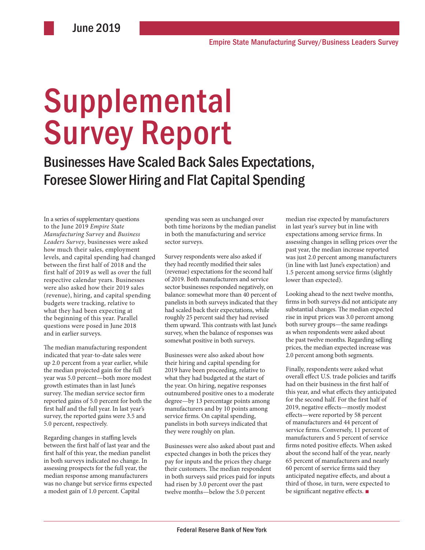# Supplemental Survey Report

Businesses Have Scaled Back Sales Expectations, Foresee Slower Hiring and Flat Capital Spending

In a series of supplementary questions to the June 2019 *Empire State Manufacturing Survey* and *Business Leaders Survey*, businesses were asked how much their sales, employment levels, and capital spending had changed between the first half of 2018 and the first half of 2019 as well as over the full respective calendar years. Businesses were also asked how their 2019 sales (revenue), hiring, and capital spending budgets were tracking, relative to what they had been expecting at the beginning of this year. Parallel questions were posed in June 2018 and in earlier surveys.

The median manufacturing respondent indicated that year-to-date sales were up 2.0 percent from a year earlier, while the median projected gain for the full year was 5.0 percent—both more modest growth estimates than in last June's survey. The median service sector firm reported gains of 5.0 percent for both the first half and the full year. In last year's survey, the reported gains were 3.5 and 5.0 percent, respectively.

Regarding changes in staffing levels between the first half of last year and the first half of this year, the median panelist in both surveys indicated no change. In assessing prospects for the full year, the median response among manufacturers was no change but service firms expected a modest gain of 1.0 percent. Capital

spending was seen as unchanged over both time horizons by the median panelist in both the manufacturing and service sector surveys.

Survey respondents were also asked if they had recently modified their sales (revenue) expectations for the second half of 2019. Both manufacturers and service sector businesses responded negatively, on balance: somewhat more than 40 percent of panelists in both surveys indicated that they had scaled back their expectations, while roughly 25 percent said they had revised them upward. This contrasts with last June's survey, when the balance of responses was somewhat positive in both surveys.

Businesses were also asked about how their hiring and capital spending for 2019 have been proceeding, relative to what they had budgeted at the start of the year. On hiring, negative responses outnumbered positive ones to a moderate degree—by 13 percentage points among manufacturers and by 10 points among service firms. On capital spending, panelists in both surveys indicated that they were roughly on plan.

Businesses were also asked about past and expected changes in both the prices they pay for inputs and the prices they charge their customers. The median respondent in both surveys said prices paid for inputs had risen by 3.0 percent over the past twelve months—below the 5.0 percent

median rise expected by manufacturers in last year's survey but in line with expectations among service firms. In assessing changes in selling prices over the past year, the median increase reported was just 2.0 percent among manufacturers (in line with last June's expectation) and 1.5 percent among service firms (slightly lower than expected).

Looking ahead to the next twelve months, firms in both surveys did not anticipate any substantial changes. The median expected rise in input prices was 3.0 percent among both survey groups—the same readings as when respondents were asked about the past twelve months. Regarding selling prices, the median expected increase was 2.0 percent among both segments.

Finally, respondents were asked what overall effect U.S. trade policies and tariffs had on their business in the first half of this year, and what effects they anticipated for the second half. For the first half of 2019, negative effects—mostly modest effects—were reported by 58 percent of manufacturers and 44 percent of service firms. Conversely, 11 percent of manufacturers and 5 percent of service firms noted positive effects. When asked about the second half of the year, nearly 65 percent of manufacturers and nearly 60 percent of service firms said they anticipated negative effects, and about a third of those, in turn, were expected to be significant negative effects. ■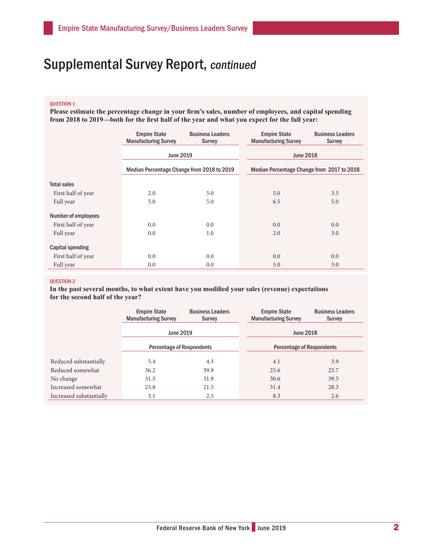### QUESTION 1

**Please estimate the percentage change in your firm's sales, number of employees, and capital spending from 2018 to 2019—both for the first half of the year and what you expect for the full year:**

|                            | <b>Empire State</b><br><b>Manufacturing Survey</b> | <b>Business Leaders</b><br>Survey | <b>Empire State</b><br><b>Manufacturing Survey</b> | <b>Business Leaders</b><br>Survey          |  |
|----------------------------|----------------------------------------------------|-----------------------------------|----------------------------------------------------|--------------------------------------------|--|
|                            | <b>June 2019</b>                                   |                                   |                                                    | <b>June 2018</b>                           |  |
|                            | Median Percentage Change from 2018 to 2019         |                                   |                                                    | Median Percentage Change from 2017 to 2018 |  |
| <b>Total sales</b>         |                                                    |                                   |                                                    |                                            |  |
| First half of year         | 2.0                                                | 5.0                               | 5.0                                                | 3.5                                        |  |
| Full year                  | 5.0                                                | 5.0                               | 6.5                                                | 5.0                                        |  |
| <b>Number of employees</b> |                                                    |                                   |                                                    |                                            |  |
| First half of year         | 0.0                                                | 0.0                               | 0.0                                                | 0.0                                        |  |
| Full year                  | 0.0                                                | 1.0                               | 2.0                                                | 3.0                                        |  |
| Capital spending           |                                                    |                                   |                                                    |                                            |  |
| First half of year         | 0.0                                                | 0.0                               | 0.0                                                | 0.0                                        |  |
| Full year                  | 0.0                                                | 0.0                               | 5.0                                                | 3.0                                        |  |

### QUESTION 2

**In the past several months, to what extent have you modified your sales (revenue) expectations for the second half of the year?**

|                         | <b>Empire State</b><br><b>Manufacturing Survey</b>   | <b>Business Leaders</b><br><b>Survey</b> | <b>Empire State</b><br><b>Manufacturing Survey</b> | <b>Business Leaders</b><br>Survey |
|-------------------------|------------------------------------------------------|------------------------------------------|----------------------------------------------------|-----------------------------------|
|                         | <b>June 2019</b><br><b>Percentage of Respondents</b> |                                          | <b>June 2018</b>                                   |                                   |
|                         |                                                      |                                          | <b>Percentage of Respondents</b>                   |                                   |
| Reduced substantially   | 5.4                                                  | 4.3                                      | 4.1                                                | 3.9                               |
| Reduced somewhat        | 36.2                                                 | 39.9                                     | 25.6                                               | 25.7                              |
| No change               | 31.5                                                 | 31.9                                     | 30.6                                               | 39.5                              |
| Increased somewhat      | 23.8                                                 | 21.5                                     | 31.4                                               | 28.3                              |
| Increased substantially | 3.1                                                  | 2.5                                      | 8.3                                                | 2.6                               |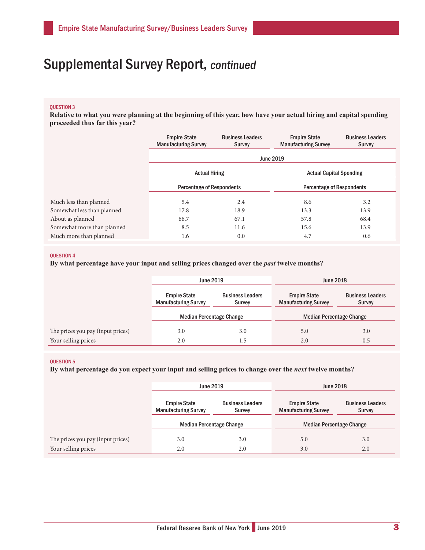### QUESTION 3

**Relative to what you were planning at the beginning of this year, how have your actual hiring and capital spending proceeded thus far this year?**

|                            | <b>Empire State</b><br><b>Manufacturing Survey</b> | <b>Business Leaders</b><br><b>Survey</b> | <b>Empire State</b><br><b>Manufacturing Survey</b> | <b>Business Leaders</b><br><b>Survey</b> |  |
|----------------------------|----------------------------------------------------|------------------------------------------|----------------------------------------------------|------------------------------------------|--|
|                            | <b>June 2019</b>                                   |                                          |                                                    |                                          |  |
|                            | <b>Actual Hiring</b>                               |                                          | <b>Actual Capital Spending</b>                     |                                          |  |
|                            | <b>Percentage of Respondents</b>                   |                                          | <b>Percentage of Respondents</b>                   |                                          |  |
| Much less than planned     | 5.4                                                | 2.4                                      | 8.6                                                | 3.2                                      |  |
| Somewhat less than planned | 17.8                                               | 18.9                                     | 13.3                                               | 13.9                                     |  |
| About as planned           | 66.7                                               | 67.1                                     | 57.8                                               | 68.4                                     |  |
| Somewhat more than planned | 8.5                                                | 11.6                                     | 15.6                                               | 13.9                                     |  |
| Much more than planned     | 1.6                                                | 0.0                                      | 4.7                                                | 0.6                                      |  |

### QUESTION 4

### **By what percentage have your input and selling prices changed over the** *past* **twelve months?**

|                                   | June 2019                                          |                                   | <b>June 2018</b>                                   |                                          |
|-----------------------------------|----------------------------------------------------|-----------------------------------|----------------------------------------------------|------------------------------------------|
|                                   | <b>Empire State</b><br><b>Manufacturing Survey</b> | <b>Business Leaders</b><br>Survey | <b>Empire State</b><br><b>Manufacturing Survey</b> | <b>Business Leaders</b><br><b>Survey</b> |
|                                   | <b>Median Percentage Change</b>                    |                                   | <b>Median Percentage Change</b>                    |                                          |
| The prices you pay (input prices) | 3.0                                                | 3.0                               | 5.0                                                | 3.0                                      |
| Your selling prices               | 2.0                                                | 1.5                               | 2.0                                                | 0.5                                      |

### QUESTION 5

**By what percentage do you expect your input and selling prices to change over the** *next* **twelve months?** 

|                                   | <b>June 2019</b>                                   |                                   | <b>June 2018</b>                                   |                                          |
|-----------------------------------|----------------------------------------------------|-----------------------------------|----------------------------------------------------|------------------------------------------|
|                                   | <b>Empire State</b><br><b>Manufacturing Survey</b> | <b>Business Leaders</b><br>Survey | <b>Empire State</b><br><b>Manufacturing Survey</b> | <b>Business Leaders</b><br><b>Survey</b> |
|                                   | <b>Median Percentage Change</b>                    |                                   | <b>Median Percentage Change</b>                    |                                          |
| The prices you pay (input prices) | 3.0                                                | 3.0                               | 5.0                                                | 3.0                                      |
| Your selling prices               | 2.0                                                | 2.0                               | 3.0                                                | 2.0                                      |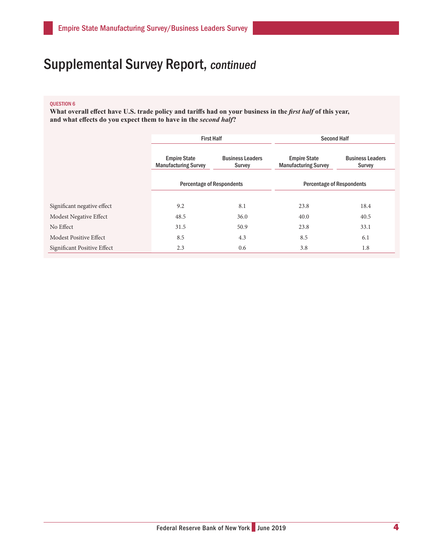### QUESTION 6

What overall effect have U.S. trade policy and tariffs had on your business in the *first half* of this year, **and what effects do you expect them to have in the** *second half***?**

|                             | <b>First Half</b>                                                                       |      | <b>Second Half</b>                                 |                                   |
|-----------------------------|-----------------------------------------------------------------------------------------|------|----------------------------------------------------|-----------------------------------|
|                             | <b>Empire State</b><br><b>Business Leaders</b><br><b>Manufacturing Survey</b><br>Survey |      | <b>Empire State</b><br><b>Manufacturing Survey</b> | <b>Business Leaders</b><br>Survey |
|                             | <b>Percentage of Respondents</b>                                                        |      | <b>Percentage of Respondents</b>                   |                                   |
|                             |                                                                                         |      |                                                    |                                   |
| Significant negative effect | 9.2                                                                                     | 8.1  | 23.8                                               | 18.4                              |
| Modest Negative Effect      | 48.5                                                                                    | 36.0 | 40.0                                               | 40.5                              |
| No Effect                   | 31.5                                                                                    | 50.9 | 23.8                                               | 33.1                              |
| Modest Positive Effect      | 8.5                                                                                     | 4.3  | 8.5                                                | 6.1                               |
| Significant Positive Effect | 2.3                                                                                     | 0.6  | 3.8                                                | 1.8                               |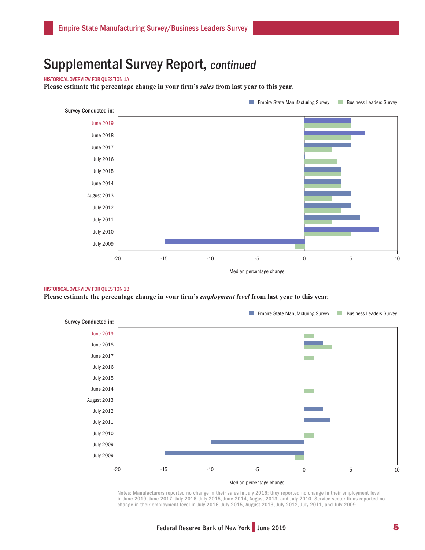### HISTORICAL OVERVIEW FOR QUESTION 1A

**Please estimate the percentage change in your firm's** *sales* **from last year to this year.**



#### HISTORICAL OVERVIEW FOR QUESTION 1B

**Please estimate the percentage change in your firm's** *employment level* **from last year to this year.** 



Notes: Manufacturers reported no change in their sales in July 2016; they reported no change in their employment level in June 2019, June 2017, July 2016, July 2015, June 2014, August 2013, and July 2010. Service sector firms reported no change in their employment level in July 2016, July 2015, August 2013, July 2012, July 2011, and July 2009.